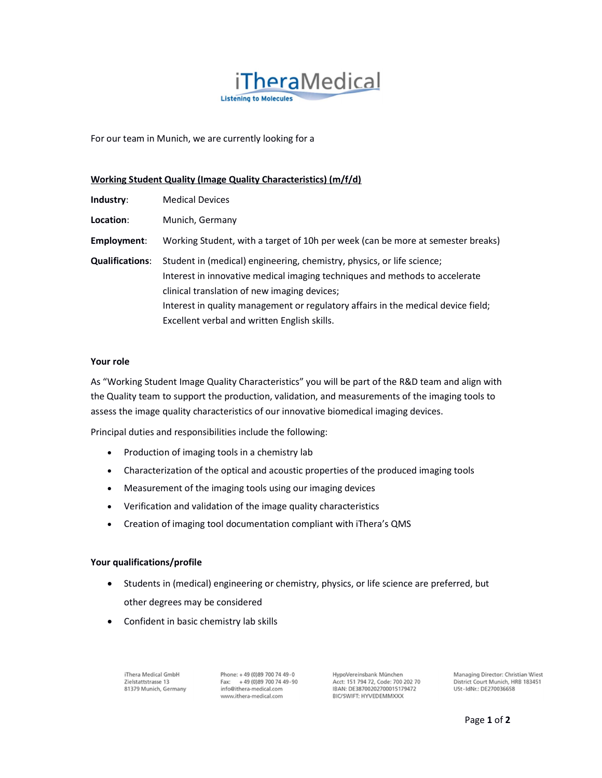

For our team in Munich, we are currently looking for a

## Working Student Quality (Image Quality Characteristics) (m/f/d)

| Industry:              | <b>Medical Devices</b>                                                                                                                                                                                                                                                                                                                     |
|------------------------|--------------------------------------------------------------------------------------------------------------------------------------------------------------------------------------------------------------------------------------------------------------------------------------------------------------------------------------------|
| Location:              | Munich, Germany                                                                                                                                                                                                                                                                                                                            |
| Employment:            | Working Student, with a target of 10h per week (can be more at semester breaks)                                                                                                                                                                                                                                                            |
| <b>Qualifications:</b> | Student in (medical) engineering, chemistry, physics, or life science;<br>Interest in innovative medical imaging techniques and methods to accelerate<br>clinical translation of new imaging devices;<br>Interest in quality management or regulatory affairs in the medical device field;<br>Excellent verbal and written English skills. |

#### Your role

As "Working Student Image Quality Characteristics" you will be part of the R&D team and align with the Quality team to support the production, validation, and measurements of the imaging tools to assess the image quality characteristics of our innovative biomedical imaging devices.

Principal duties and responsibilities include the following:

- Production of imaging tools in a chemistry lab
- Characterization of the optical and acoustic properties of the produced imaging tools
- Measurement of the imaging tools using our imaging devices
- Verification and validation of the image quality characteristics
- Creation of imaging tool documentation compliant with iThera's QMS

#### Your qualifications/profile

- Students in (medical) engineering or chemistry, physics, or life science are preferred, but other degrees may be considered
- Confident in basic chemistry lab skills

iThera Medical GmbH Zielstattstrasse 13 81379 Munich, Germany Phone: +49 (0)89 700 74 49-0 Fax: +49 (0)89 700 74 49-90 info@ithera-medical.com www.ithera-medical.com

HypoVereinsbank München Acct: 151 794 72, Code: 700 202 70 IBAN: DE38700202700015179472 **BIC/SWIFT: HYVEDEMMXXX** 

Managing Director: Christian Wiest District Court Munich, HRB 183451 USt-IdNr.: DE270036658